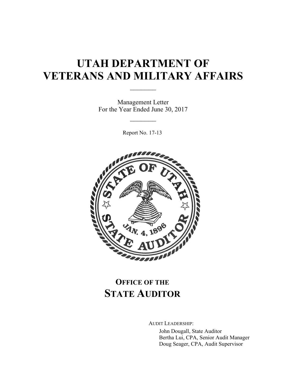# **UTAH DEPARTMENT OF VETERANS AND MILITARY AFFAIRS**

 $\mathcal{L}_\text{max}$ 

Management Letter For the Year Ended June 30, 2017

 $\frac{1}{2}$ 

Report No. 17-13



## **OFFICE OF THE STATE AUDITOR**

AUDIT LEADERSHIP:

John Dougall, State Auditor Bertha Lui, CPA, Senior Audit Manager Doug Seager, CPA, Audit Supervisor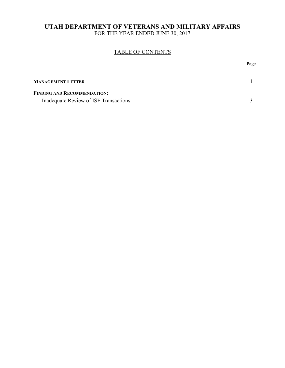### **UTAH DEPARTMENT OF VETERANS AND MILITARY AFFAIRS**

FOR THE YEAR ENDED JUNE 30, 2017

### TABLE OF CONTENTS

|                                       | <u>Page</u> |
|---------------------------------------|-------------|
| <b>MANAGEMENT LETTER</b>              |             |
| <b>FINDING AND RECOMMENDATION:</b>    |             |
| Inadequate Review of ISF Transactions |             |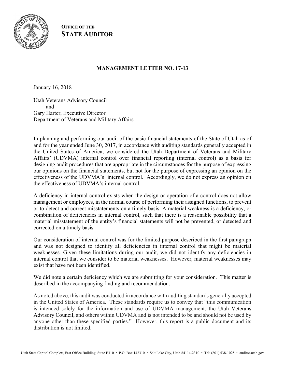

**OFFICE OF THE STATE AUDITOR**

### **MANAGEMENT LETTER NO. 17-13**

January 16, 2018

Utah Veterans Advisory Council and Gary Harter, Executive Director Department of Veterans and Military Affairs

In planning and performing our audit of the basic financial statements of the State of Utah as of and for the year ended June 30, 2017, in accordance with auditing standards generally accepted in the United States of America, we considered the Utah Department of Veterans and Military Affairs' (UDVMA) internal control over financial reporting (internal control) as a basis for designing audit procedures that are appropriate in the circumstances for the purpose of expressing our opinions on the financial statements, but not for the purpose of expressing an opinion on the effectiveness of the UDVMA's internal control. Accordingly, we do not express an opinion on the effectiveness of UDVMA's internal control.

A deficiency in internal control exists when the design or operation of a control does not allow management or employees, in the normal course of performing their assigned functions, to prevent or to detect and correct misstatements on a timely basis. A material weakness is a deficiency, or combination of deficiencies in internal control, such that there is a reasonable possibility that a material misstatement of the entity's financial statements will not be prevented, or detected and corrected on a timely basis.

Our consideration of internal control was for the limited purpose described in the first paragraph and was not designed to identify all deficiencies in internal control that might be material weaknesses. Given these limitations during our audit, we did not identify any deficiencies in internal control that we consider to be material weaknesses. However, material weaknesses may exist that have not been identified.

We did note a certain deficiency which we are submitting for your consideration. This matter is described in the accompanying finding and recommendation.

As noted above, this audit was conducted in accordance with auditing standards generally accepted in the United States of America. These standards require us to convey that "this communication is intended solely for the information and use of UDVMA management, the Utah Veterans Advisory Council, and others within UDVMA and is not intended to be and should not be used by anyone other than these specified parties." However, this report is a public document and its distribution is not limited.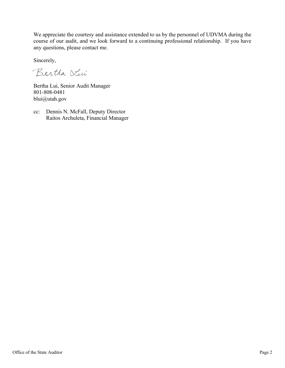We appreciate the courtesy and assistance extended to us by the personnel of UDVMA during the course of our audit, and we look forward to a continuing professional relationship. If you have any questions, please contact me.

Sincerely,

Bertha Vin

Bertha Lui, Senior Audit Manager 801-808-0481 blui@utah.gov

cc: Dennis N. McFall, Deputy Director Raitos Archuleta, Financial Manager